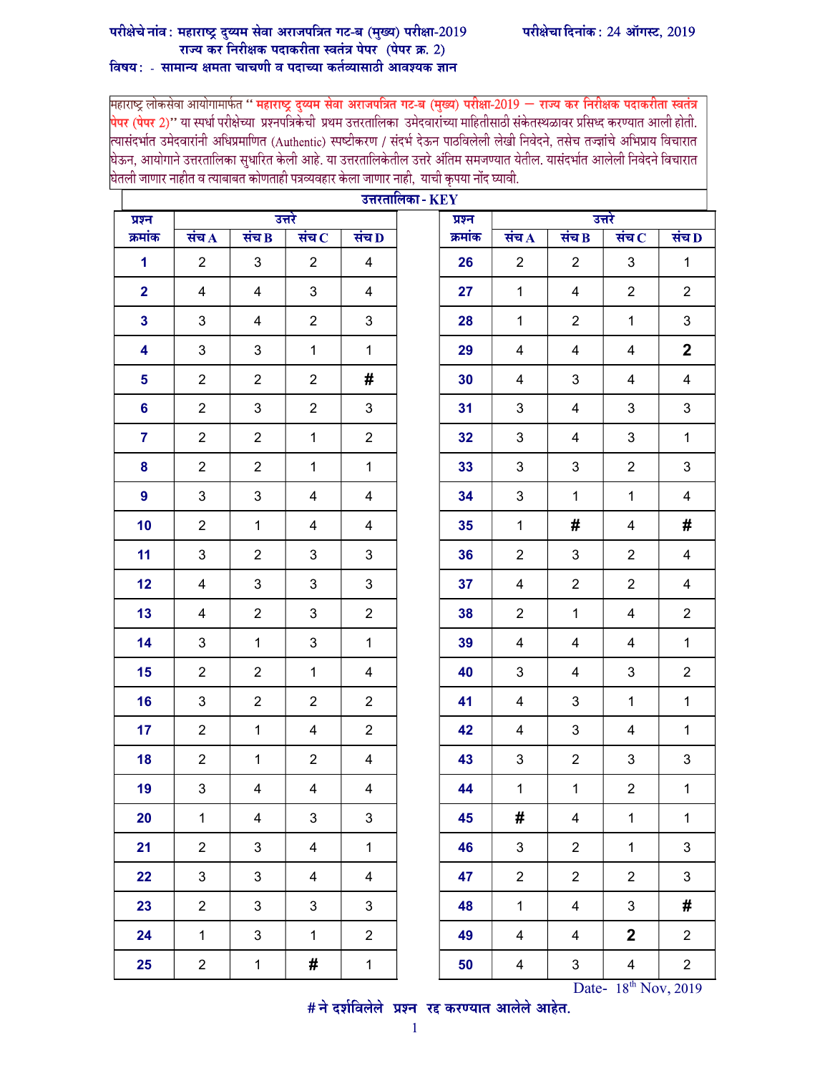## परीक्षेचे नांव: महाराष्ट्र दुय्यम सेवा अराजपत्रित गट-ब (मुख्य) परीक्षा-2019 राज्य कर निरीक्षक पदाकरीता स्वतंत्र पेपर (पेपर क्र. 2)

## विषय: - सामान्य क्षमता चाचणी व पदाच्या कर्तव्यासाठी आवश्यक ज्ञान

महाराष्ट्र लोकसेवा आयोगामार्फत " महाराष्ट्र दुय्यम सेवा अराजपत्रित गट-ब (मुख्य) परीक्षा-2019 — राज्य कर निरीक्षक पदाकरीता स्वतंत्र <mark>पेपर (पेपर 2)''</mark> या स्पर्धा परीक्षेच्या प्रश्नपत्रिकेची प्रथम उत्तरतालिका उमेदवारांच्या माहितीसाठी संकेतस्थळावर प्रसिध्द करण्यात आली होती.<br>त्यासंदर्भात उमेदवारांनी अधिप्रमाणित (Authentic) स्पष्टीकरण / संदर्भ देऊन पाठव .<br>घेऊन, आयोगाने उत्तरतालिका सुधारित केली आहे. या उत्तरतालिकेतील उत्तरे अंतिम समजण्यात येतील. यासंदर्भात आलेली निवेदने विचारात घेतली जाणार नाहीत व त्याबाबत कोणताही पत्रव्यवहार केला जाणार नाही, याची कृपया नोंद घ्यावी.

| उत्तरतालिका - $\mathbf{KEY}$ |                |                         |                |                |        |         |                |                |                           |                |
|------------------------------|----------------|-------------------------|----------------|----------------|--------|---------|----------------|----------------|---------------------------|----------------|
| प्रश्न                       | उत्तरे         |                         |                |                | प्रश्न | उत्तरे  |                |                |                           |                |
| क्रमांक                      | संच $\bf{A}$   | संच $\bf{B}$            | संच $\,$       | संच $\bf D$    |        | क्रमांक | संच $\bf{A}$   | संच $\bf{B}$   | संच $\, {\bf c}$          | संच $\bf{D}$   |
| $\mathbf{1}$                 | $\overline{2}$ | 3                       | $\overline{2}$ | 4              |        | 26      | $\overline{2}$ | $\overline{2}$ | 3                         | $\mathbf{1}$   |
| $\overline{2}$               | 4              | 4                       | $\mathfrak{B}$ | 4              |        | 27      | $\mathbf{1}$   | 4              | $\overline{2}$            | $\overline{2}$ |
| $\mathbf{3}$                 | 3              | 4                       | $\overline{2}$ | 3              |        | 28      | $\mathbf{1}$   | $\overline{2}$ | $\mathbf{1}$              | 3              |
| 4                            | 3              | 3                       | $\mathbf{1}$   | $\mathbf{1}$   |        | 29      | 4              | 4              | 4                         | $\overline{2}$ |
| 5                            | $\overline{2}$ | $\overline{2}$          | $\overline{2}$ | #              |        | 30      | $\overline{4}$ | 3              | $\overline{\mathbf{4}}$   | $\overline{4}$ |
| 6                            | $\overline{2}$ | 3                       | $\overline{2}$ | 3              |        | 31      | 3              | 4              | 3                         | 3              |
| $\overline{7}$               | $\overline{2}$ | $\overline{2}$          | $\mathbf{1}$   | $\overline{2}$ |        | 32      | $\mathbf{3}$   | 4              | 3                         | $\mathbf{1}$   |
| 8                            | $\overline{2}$ | $\overline{2}$          | $\mathbf{1}$   | $\mathbf{1}$   |        | 33      | 3              | 3              | $\overline{2}$            | 3              |
| 9                            | 3              | 3                       | 4              | 4              |        | 34      | 3              | $\mathbf{1}$   | $\mathbf{1}$              | 4              |
| 10                           | $\overline{2}$ | $\mathbf{1}$            | $\overline{4}$ | 4              |        | 35      | $\mathbf 1$    | #              | $\overline{\mathbf{4}}$   | #              |
| 11                           | 3              | $\overline{2}$          | 3              | 3              |        | 36      | $\overline{2}$ | 3              | $\overline{2}$            | 4              |
| 12                           | 4              | 3                       | 3              | 3              |        | 37      | 4              | $\overline{2}$ | $\overline{2}$            | $\overline{4}$ |
| 13                           | 4              | $\overline{2}$          | 3              | $\overline{2}$ |        | 38      | $\overline{2}$ | $\mathbf{1}$   | 4                         | $\overline{2}$ |
| 14                           | 3              | $\mathbf{1}$            | 3              | $\mathbf{1}$   |        | 39      | 4              | 4              | 4                         | $\mathbf 1$    |
| 15                           | $\overline{2}$ | $\overline{2}$          | $\mathbf{1}$   | 4              |        | 40      | 3              | $\overline{4}$ | $\ensuremath{\mathsf{3}}$ | $\overline{2}$ |
| 16                           | 3              | $\overline{2}$          | $\overline{2}$ | $\overline{2}$ |        | 41      | 4              | 3              | $\mathbf{1}$              | 1              |
| 17                           | $\overline{2}$ | $\mathbf{1}$            | 4              | $\overline{2}$ |        | 42      | 4              | 3              | 4                         | $\mathbf{1}$   |
| 18                           | $\overline{2}$ | $\mathbf{1}$            | $\overline{2}$ | 4              |        | 43      | $\mathbf{3}$   | $\overline{2}$ | 3                         | 3              |
| 19                           | 3              | 4                       | 4              | 4              |        | 44      | $\mathbf 1$    | $\mathbf{1}$   | $\overline{c}$            | $\mathbf 1$    |
| 20                           | $\mathbf{1}$   | $\overline{\mathbf{4}}$ | $\mathfrak{S}$ | $\mathbf{3}$   |        | 45      | #              | $\overline{4}$ | $\mathbf{1}$              | $\mathbf{1}$   |
| 21                           | $\overline{2}$ | 3                       | 4              | $\mathbf{1}$   |        | 46      | $\mathfrak{S}$ | $\overline{2}$ | $\mathbf{1}$              | $\mathbf{3}$   |
| 22                           | $\mathbf{3}$   | 3                       | $\overline{4}$ | $\overline{4}$ |        | 47      | $\overline{2}$ | $\overline{2}$ | $\overline{2}$            | $\mathfrak{S}$ |
| 23                           | $\overline{2}$ | 3                       | $\mathfrak{S}$ | $\mathbf{3}$   |        | 48      | $\mathbf{1}$   | $\overline{4}$ | $\mathbf{3}$              | #              |
| 24                           | $\mathbf{1}$   | 3                       | $\mathbf{1}$   | $\overline{2}$ |        | 49      | 4              | 4              | $\overline{2}$            | $\overline{2}$ |
| 25                           | $\overline{2}$ | $\mathbf 1$             | #              | $\mathbf{1}$   |        | 50      | $\overline{4}$ | $\mathbf{3}$   | $\overline{\mathbf{4}}$   | $\overline{2}$ |

 $B^{\text{th}}$  Date-  $18^{\text{th}}$  Nov, 2019<br>  $\#$ ने दर्शविलेले प्रश्न रद्द करण्यात आलेले आहेत.